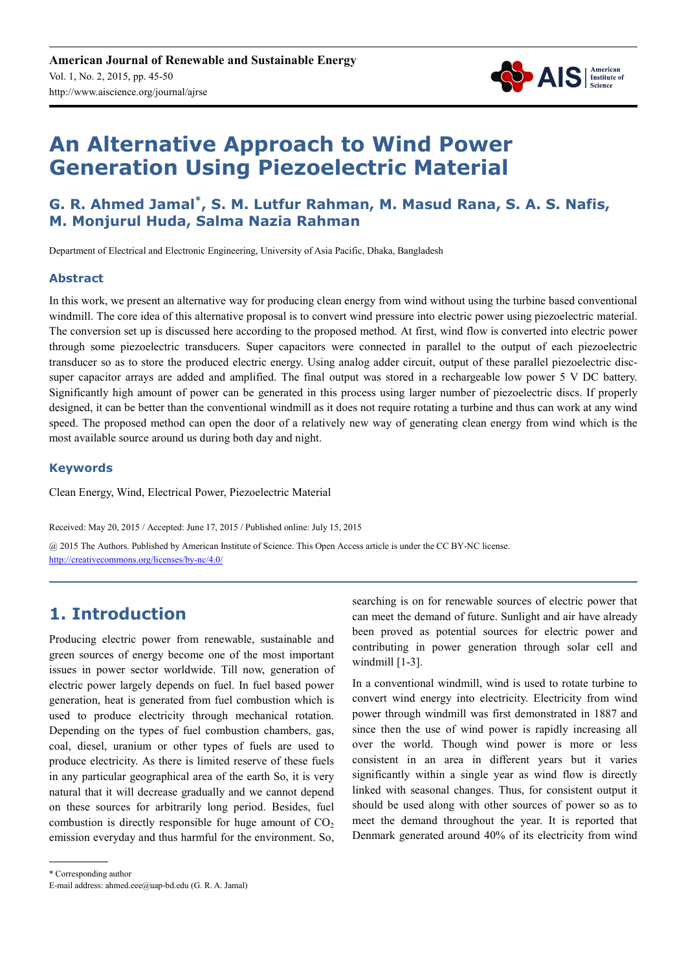

# **An Alternative Approach to Wind Power Generation Using Piezoelectric Material**

### **G. R. Ahmed Jamal\* , S. M. Lutfur Rahman, M. Masud Rana, S. A. S. Nafis, M. Monjurul Huda, Salma Nazia Rahman**

Department of Electrical and Electronic Engineering, University of Asia Pacific, Dhaka, Bangladesh

#### **Abstract**

In this work, we present an alternative way for producing clean energy from wind without using the turbine based conventional windmill. The core idea of this alternative proposal is to convert wind pressure into electric power using piezoelectric material. The conversion set up is discussed here according to the proposed method. At first, wind flow is converted into electric power through some piezoelectric transducers. Super capacitors were connected in parallel to the output of each piezoelectric transducer so as to store the produced electric energy. Using analog adder circuit, output of these parallel piezoelectric discsuper capacitor arrays are added and amplified. The final output was stored in a rechargeable low power 5 V DC battery. Significantly high amount of power can be generated in this process using larger number of piezoelectric discs. If properly designed, it can be better than the conventional windmill as it does not require rotating a turbine and thus can work at any wind speed. The proposed method can open the door of a relatively new way of generating clean energy from wind which is the most available source around us during both day and night.

#### **Keywords**

Clean Energy, Wind, Electrical Power, Piezoelectric Material

Received: May 20, 2015 / Accepted: June 17, 2015 / Published online: July 15, 2015

@ 2015 The Authors. Published by American Institute of Science. This Open Access article is under the CC BY-NC license. http://creativecommons.org/licenses/by-nc/4.0/

# **1. Introduction**

Producing electric power from renewable, sustainable and green sources of energy become one of the most important issues in power sector worldwide. Till now, generation of electric power largely depends on fuel. In fuel based power generation, heat is generated from fuel combustion which is used to produce electricity through mechanical rotation. Depending on the types of fuel combustion chambers, gas, coal, diesel, uranium or other types of fuels are used to produce electricity. As there is limited reserve of these fuels in any particular geographical area of the earth So, it is very natural that it will decrease gradually and we cannot depend on these sources for arbitrarily long period. Besides, fuel combustion is directly responsible for huge amount of  $CO<sub>2</sub>$ emission everyday and thus harmful for the environment. So,

searching is on for renewable sources of electric power that can meet the demand of future. Sunlight and air have already been proved as potential sources for electric power and contributing in power generation through solar cell and windmill [1-3].

In a conventional windmill, wind is used to rotate turbine to convert wind energy into electricity. Electricity from wind power through windmill was first demonstrated in 1887 and since then the use of wind power is rapidly increasing all over the world. Though wind power is more or less consistent in an area in different years but it varies significantly within a single year as wind flow is directly linked with seasonal changes. Thus, for consistent output it should be used along with other sources of power so as to meet the demand throughout the year. It is reported that Denmark generated around 40% of its electricity from wind

<sup>\*</sup> Corresponding author

E-mail address: ahmed.eee@uap-bd.edu (G. R. A. Jamal)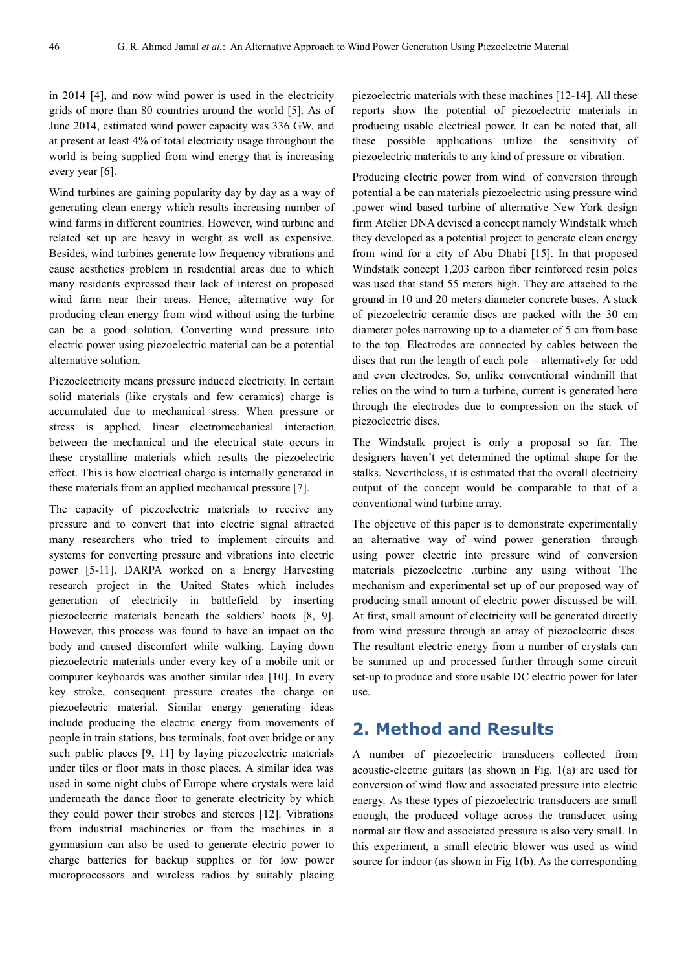in 2014 [4], and now wind power is used in the electricity grids of more than 80 countries around the world [5]. As of June 2014, estimated wind power capacity was 336 GW, and at present at least 4% of total electricity usage throughout the world is being supplied from wind energy that is increasing every year [6].

Wind turbines are gaining popularity day by day as a way of generating clean energy which results increasing number of wind farms in different countries. However, wind turbine and related set up are heavy in weight as well as expensive. Besides, wind turbines generate low frequency vibrations and cause aesthetics problem in residential areas due to which many residents expressed their lack of interest on proposed wind farm near their areas. Hence, alternative way for producing clean energy from wind without using the turbine can be a good solution. Converting wind pressure into electric power using piezoelectric material can be a potential alternative solution.

Piezoelectricity means pressure induced electricity. In certain solid materials (like crystals and few ceramics) charge is accumulated due to mechanical stress. When pressure or stress is applied, linear electromechanical interaction between the mechanical and the electrical state occurs in these crystalline materials which results the piezoelectric effect. This is how electrical charge is internally generated in these materials from an applied mechanical pressure [7].

The capacity of piezoelectric materials to receive any pressure and to convert that into electric signal attracted many researchers who tried to implement circuits and systems for converting pressure and vibrations into electric power [5-11]. DARPA worked on a Energy Harvesting research project in the United States which includes generation of electricity in battlefield by inserting piezoelectric materials beneath the soldiers' boots [8, 9]. However, this process was found to have an impact on the body and caused discomfort while walking. Laying down piezoelectric materials under every key of a mobile unit or computer keyboards was another similar idea [10]. In every key stroke, consequent pressure creates the charge on piezoelectric material. Similar energy generating ideas include producing the electric energy from movements of people in train stations, bus terminals, foot over bridge or any such public places [9, 11] by laying piezoelectric materials under tiles or floor mats in those places. A similar idea was used in some night clubs of Europe where crystals were laid underneath the dance floor to generate electricity by which they could power their strobes and stereos [12]. Vibrations from industrial machineries or from the machines in a gymnasium can also be used to generate electric power to charge batteries for backup supplies or for low power microprocessors and wireless radios by suitably placing piezoelectric materials with these machines [12-14]. All these reports show the potential of piezoelectric materials in producing usable electrical power. It can be noted that, all these possible applications utilize the sensitivity of piezoelectric materials to any kind of pressure or vibration.

Producing electric power from wind of conversion through potential a be can materials piezoelectric using pressure wind .power wind based turbine of alternative New York design firm Atelier DNA devised a concept namely Windstalk which they developed as a potential project to generate clean energy from wind for a city of Abu Dhabi [15]. In that proposed Windstalk concept 1,203 carbon fiber reinforced resin poles was used that stand 55 meters high. They are attached to the ground in 10 and 20 meters diameter concrete bases. A stack of piezoelectric ceramic discs are packed with the 30 cm diameter poles narrowing up to a diameter of 5 cm from base to the top. Electrodes are connected by cables between the discs that run the length of each pole – alternatively for odd and even electrodes. So, unlike conventional windmill that relies on the wind to turn a turbine, current is generated here through the electrodes due to compression on the stack of piezoelectric discs.

The Windstalk project is only a proposal so far. The designers haven't yet determined the optimal shape for the stalks. Nevertheless, it is estimated that the overall electricity output of the concept would be comparable to that of a conventional wind turbine array.

The objective of this paper is to demonstrate experimentally an alternative way of wind power generation through using power electric into pressure wind of conversion materials piezoelectric .turbine any using without The mechanism and experimental set up of our proposed way of producing small amount of electric power discussed be will. At first, small amount of electricity will be generated directly from wind pressure through an array of piezoelectric discs. The resultant electric energy from a number of crystals can be summed up and processed further through some circuit set-up to produce and store usable DC electric power for later use.

#### **2. Method and Results**

A number of piezoelectric transducers collected from acoustic-electric guitars (as shown in Fig. 1(a) are used for conversion of wind flow and associated pressure into electric energy. As these types of piezoelectric transducers are small enough, the produced voltage across the transducer using normal air flow and associated pressure is also very small. In this experiment, a small electric blower was used as wind source for indoor (as shown in Fig 1(b). As the corresponding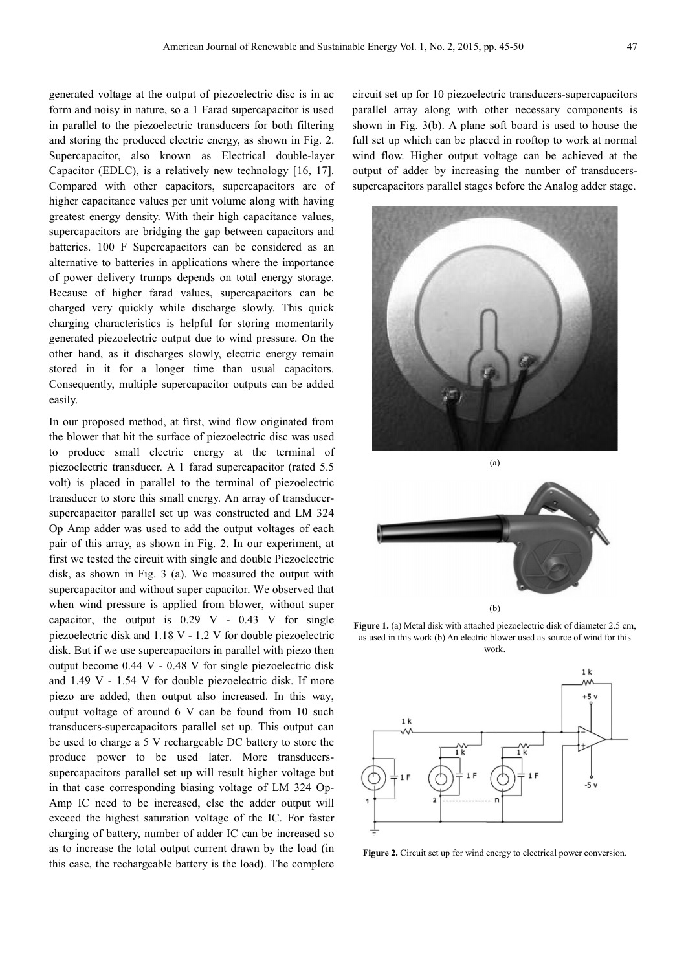generated voltage at the output of piezoelectric disc is in ac form and noisy in nature, so a 1 Farad supercapacitor is used in parallel to the piezoelectric transducers for both filtering and storing the produced electric energy, as shown in Fig. 2. Supercapacitor, also known as Electrical double-layer Capacitor (EDLC), is a relatively new technology [16, 17]. Compared with other capacitors, supercapacitors are of higher capacitance values per unit volume along with having greatest energy density. With their high capacitance values, supercapacitors are bridging the gap between capacitors and batteries. 100 F Supercapacitors can be considered as an alternative to batteries in applications where the importance of power delivery trumps depends on total e Because of higher farad values, supercapacitors can be charged very quickly while discharge slowly. This quick charging characteristics is helpful for storing momentarily generated piezoelectric output due to wind pressure. On the other hand, as it discharges slowly, electric energy remain stored in it for a longer time than usual capacitors. Consequently, multiple supercapacitor outputs can be added easily. apacitance values per unit volume along with having<br>energy density. With their high capacitance values,<br>accitors are bridging the gap between capacitors and<br>. 100 F Supercapacitors can be considered as an<br>we to batteries i f higher farad values, supercapacitors can be<br>ry quickly while discharge slowly. This quick<br>haracteristics is helpful for storing momentarily<br>biezoelectric output due to wind pressure. On the<br>, as it discharges slowly, ele

In our proposed method, at first, wind flow originated from the blower that hit the surface of piezoelectric disc was used to produce small electric energy at the terminal of piezoelectric transducer. A 1 farad supercapacitor (rated 5.5 volt) is placed in parallel to the terminal of piezoelectric transducer to store this small energy. An array of transducer supercapacitor parallel set up was constructed and LM 324 Op Amp adder was used to add the output voltages of each pair of this array, as shown in Fig. 2. In our experiment, at first we tested the circuit with single and double Piezoelec Piezoelectric disk, as shown in Fig. 3 (a). We measured the output with supercapacitor and without super capacitor. We observed that when wind pressure is applied from blower, without super capacitor, the output is 0.29 V - 0.43 V for single piezoelectric disk and 1.18 V - 1.2 V for double piezoelectric disk. But if we use supercapacitors in parallel with piezo then output become 0.44 V - 0.48 V for single piezoelectric disk and 1.49 V - 1.54 V for double piezoelectric disk. If more piezo are added, then output also increased. In this way, output voltage of around 6 V can be found from 10 such transducers-supercapacitors parallel set up. This output can be used to charge a 5 V rechargeable DC battery to store the produce power to be used later. More transducerssupercapacitors parallel set up will result higher voltage but supercapacitors parallel set up will result higher voltage but<br>in that case corresponding biasing voltage of LM 324 Op-Amp IC need to be increased, else the adder output will exceed the highest saturation voltage of the IC. For faster charging of battery, number of adder IC can be increased so as to increase the total output current drawn by the load (in this case, the rechargeable battery is the load). The complete rpun de fineroelectric transluence<br>transluence passis in a circuit set up for 10 piezoelectric transluence<br>technic emergency for both filtering shown in Fig. 2. Call set up which can be phased in rooling to<br>technic transd

parallel array along with other necessary components is shown in Fig. 3(b). A plane soft board is used to house the full set up which can be placed in rooftop to work at normal wind flow. Higher output voltage can be achieved at the output of adder by increasing the number of transducerssupercapacitors parallel stages before the Analog adder stage. circuit set up for 10 piezoelectric transducers-supercapacitors





**Figure 1.** (a) Metal disk with attached piezoelectric disk of diameter 2.5 cm, as used in this work (b) An electric blower used as source of wind for this work.



Figure 2. Circuit set up for wind energy to electrical power conversion.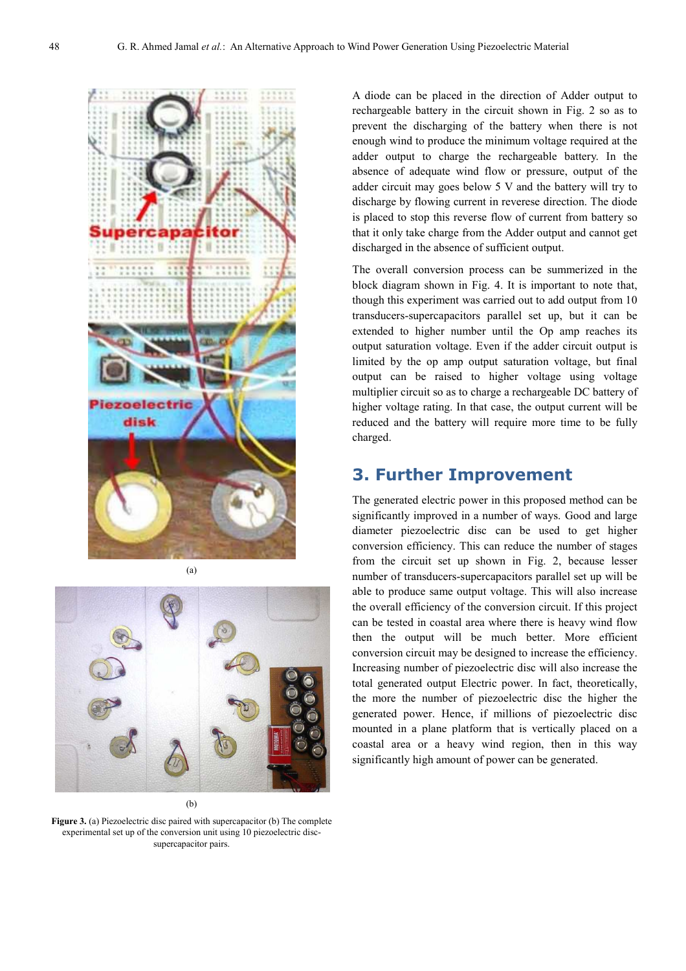

(a)



(b)

**Figure 3.** (a) Piezoelectric disc paired with supercapacitor (b) The complete experimental set up of the conversion unit using 10 piezoelectric discsupercapacitor pairs.

A diode can be placed in the direction of Adder output to rechargeable battery in the circuit shown in Fig. 2 so as to prevent the discharging of the battery when there is not enough wind to produce the minimum voltage required at the adder output to charge the rechargeable battery. In the absence of adequate wind flow or pressure, output of the adder circuit may goes below 5 V and the battery will try to discharge by flowing current in reverese direction. The diode is placed to stop this reverse flow of current from battery so that it only take charge from the Adder output and cannot get discharged in the absence of sufficient output.

The overall conversion process can be summerized in the block diagram shown in Fig. 4. It is important to note that, though this experiment was carried out to add output from 10 transducers-supercapacitors parallel set up, but it can be extended to higher number until the Op amp reaches its output saturation voltage. Even if the adder circuit output is limited by the op amp output saturation voltage, but final output can be raised to higher voltage using voltage multiplier circuit so as to charge a rechargeable DC battery of higher voltage rating. In that case, the output current will be reduced and the battery will require more time to be fully charged.

# **3. Further Improvement**

The generated electric power in this proposed method can be significantly improved in a number of ways. Good and large diameter piezoelectric disc can be used to get higher conversion efficiency. This can reduce the number of stages from the circuit set up shown in Fig. 2, because lesser number of transducers-supercapacitors parallel set up will be able to produce same output voltage. This will also increase the overall efficiency of the conversion circuit. If this project can be tested in coastal area where there is heavy wind flow then the output will be much better. More efficient conversion circuit may be designed to increase the efficiency. Increasing number of piezoelectric disc will also increase the total generated output Electric power. In fact, theoretically, the more the number of piezoelectric disc the higher the generated power. Hence, if millions of piezoelectric disc mounted in a plane platform that is vertically placed on a coastal area or a heavy wind region, then in this way significantly high amount of power can be generated.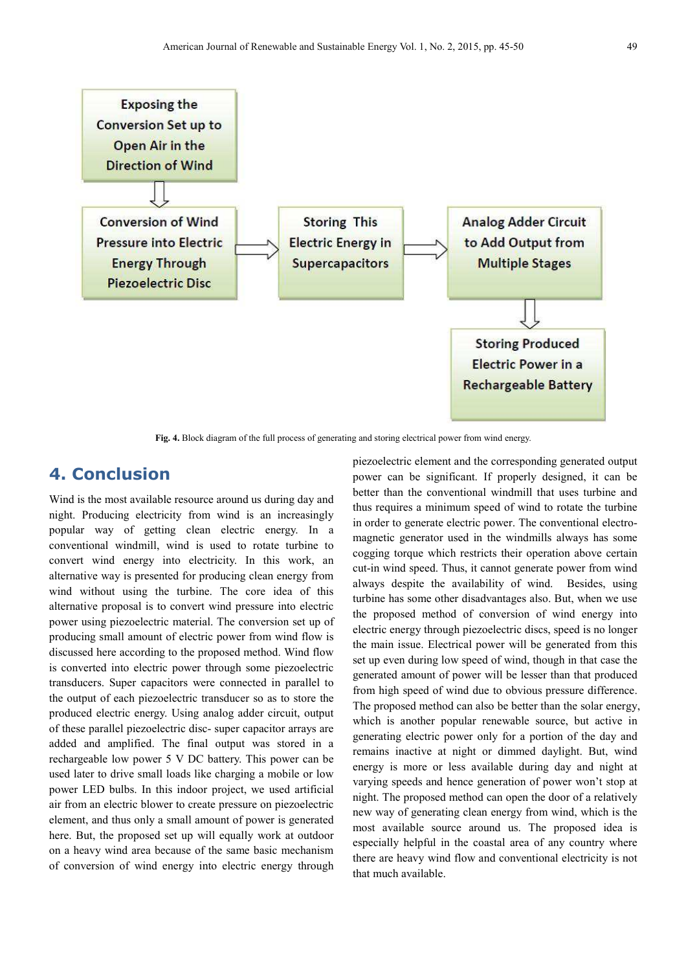

**Fig. 4.** Block diagram of the full process of generating and storing electrical power from wind energy.

# **4. Conclusion**

Wind is the most available resource around us during day and night. Producing electricity from wind is an increasingly popular way of getting clean electric energy. In a conventional windmill, wind is used to rotate turbine to convert wind energy into electricity. In this work, an alternative way is presented for producing clean energy from wind without using the turbine. The core idea of this alternative proposal is to convert wind pressure into electric power using piezoelectric material. The conversion set up of producing small amount of electric power from wind flow is discussed here according to the proposed method. Wind flow is converted into electric power through some piezoelectric transducers. Super capacitors were connected in parallel to the output of each piezoelectric transducer so as to store the produced electric energy. Using analog adder circuit, output of these parallel piezoelectric disc- super capacitor arrays are added and amplified. The final output was stored in a rechargeable low power 5 V DC battery. This power can be used later to drive small loads like charging a mobile or low power LED bulbs. In this indoor project, we used artificial air from an electric blower to create pressure on piezoelectric element, and thus only a small amount of power is generated here. But, the proposed set up will equally work at outdoor on a heavy wind area because of the same basic mechanism of conversion of wind energy into electric energy through piezoelectric element and the corresponding generated output power can be significant. If properly designed, it can be better than the conventional windmill that uses turbine and thus requires a minimum speed of wind to rotate the turbine in order to generate electric power. The conventional electromagnetic generator used in the windmills always has some cogging torque which restricts their operation above certain cut-in wind speed. Thus, it cannot generate power from wind always despite the availability of wind. Besides, using turbine has some other disadvantages also. But, when we use the proposed method of conversion of wind energy into electric energy through piezoelectric discs, speed is no longer the main issue. Electrical power will be generated from this set up even during low speed of wind, though in that case the generated amount of power will be lesser than that produced from high speed of wind due to obvious pressure difference. The proposed method can also be better than the solar energy, which is another popular renewable source, but active in generating electric power only for a portion of the day and remains inactive at night or dimmed daylight. But, wind energy is more or less available during day and night at varying speeds and hence generation of power won't stop at night. The proposed method can open the door of a relatively new way of generating clean energy from wind, which is the most available source around us. The proposed idea is especially helpful in the coastal area of any country where there are heavy wind flow and conventional electricity is not that much available.